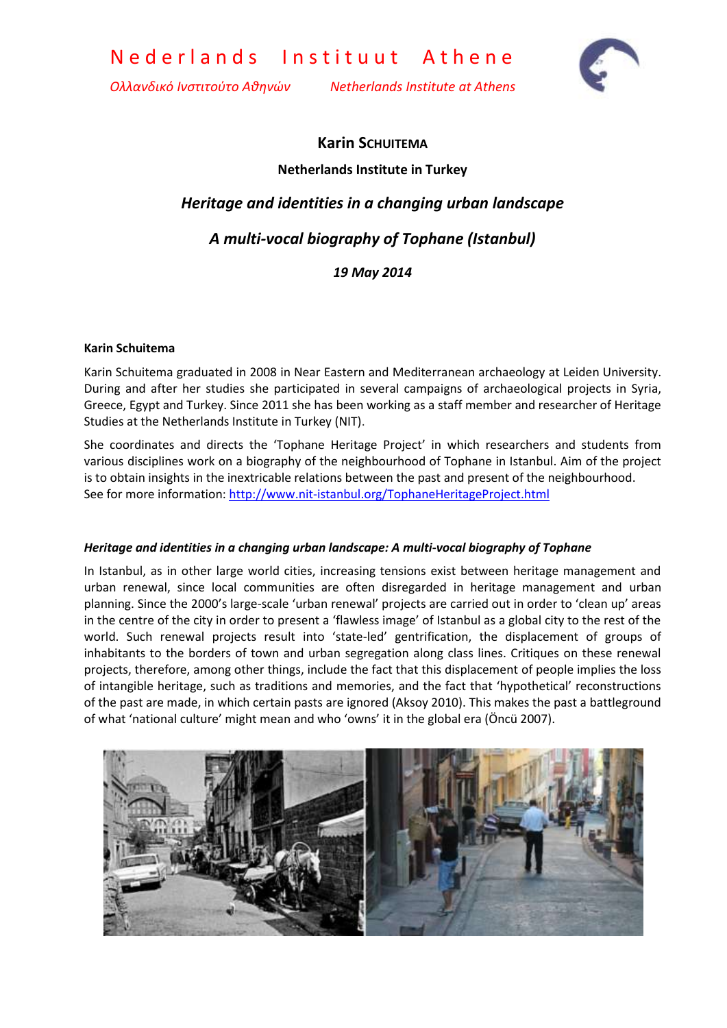Nederlands Instituut Athene

*Ολλανδικό Ινστιτούτο Αθηνών Netherlands Institute at Athens*



# **Karin SCHUITEMA Netherlands Institute in Turkey**

## *Heritage and identities in a changing urban landscape*

## *A multi-vocal biography of Tophane (Istanbul)*

### *19 May 2014*

#### **Karin Schuitema**

Karin Schuitema graduated in 2008 in Near Eastern and Mediterranean archaeology at Leiden University. During and after her studies she participated in several campaigns of archaeological projects in Syria, Greece, Egypt and Turkey. Since 2011 she has been working as a staff member and researcher of Heritage Studies at the Netherlands Institute in Turkey (NIT).

She coordinates and directs the 'Tophane Heritage Project' in which researchers and students from various disciplines work on a biography of the neighbourhood of Tophane in Istanbul. Aim of the project is to obtain insights in the inextricable relations between the past and present of the neighbourhood. See for more information[: http://www.nit-istanbul.org/TophaneHeritageProject.html](http://www.nit-istanbul.org/TophaneHeritageProject.html)

#### *Heritage and identities in a changing urban landscape: A multi-vocal biography of Tophane*

In Istanbul, as in other large world cities, increasing tensions exist between heritage management and urban renewal, since local communities are often disregarded in heritage management and urban planning. Since the 2000's large-scale 'urban renewal' projects are carried out in order to 'clean up' areas in the centre of the city in order to present a 'flawless image' of Istanbul as a global city to the rest of the world. Such renewal projects result into 'state-led' gentrification, the displacement of groups of inhabitants to the borders of town and urban segregation along class lines. Critiques on these renewal projects, therefore, among other things, include the fact that this displacement of people implies the loss of intangible heritage, such as traditions and memories, and the fact that 'hypothetical' reconstructions of the past are made, in which certain pasts are ignored (Aksoy 2010). This makes the past a battleground of what 'national culture' might mean and who 'owns' it in the global era (Öncü 2007).